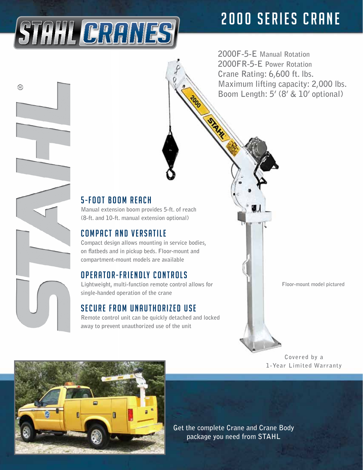# **2000 SERIES CRANE**

**2000F-5-E Manual Rotation 2000FR-5-E Power Rotation Crane Rating: 6,600 ft. lbs. Maximum lifting capacity: 2,000 lbs. Boom Length: 5' (8' & 10' optional)**

### $5 - F$  $0$  $0$  $I$  $R$  $0$  $0$  $M$  $R$  $F$  $R$  $C$  $H$

STAHL CRANES

☺

**Manual extension boom provides 5-ft. of reach (8-ft. and 10-ft. manual extension optional)**

#### **COMPACT AND VERSATILE**

**Compact design allows mounting in service bodies, on flatbeds and in pickup beds. Floor-mount and compartment-mount models are available**

#### OPERATOR-FRIENDLY CONTROLS

**Lightweight, multi-function remote control allows for single-handed operation of the crane**

#### SECURE FROM UNAUTHORIZED USE

**Remote control unit can be quickly detached and locked away to prevent unauthorized use of the unit**

**Floor-mount model pictured**

#### **Covered by a 1-Year Limited Warranty**



**Get the complete Crane and Crane Body package you need from STAHL**